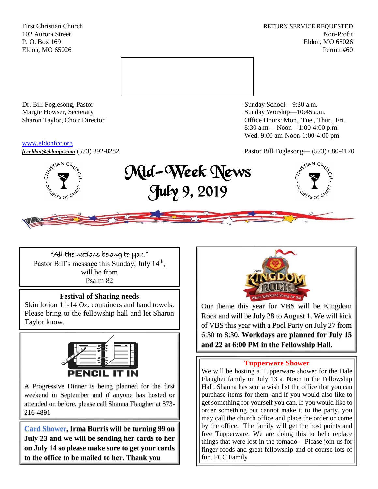First Christian Church **RETURN SERVICE REQUESTED** 102 Aurora Street Non-Profit P. O. Box 169 Eldon, MO 65026 Eldon, MO 65026 Permit #60



Dr. Bill Foglesong, Pastor Sunday School—9:30 a.m. Margie Howser, Secretary Sunday Worship—10:45 a.m.

#### [www.eldonfcc.org](http://www.eldonfcc.org/)

Sharon Taylor, Choir Director **Calcular Control** Control Control Control Control Control Control Control Control Control Control Control Control Control Control Control Control Control Control Control Control Control Contr 8:30 a.m. – Noon – 1:00-4:00 p.m. Wed. 9:00 am-Noon-1:00-4:00 pm



*[fcceldon@eldonpc.com](mailto:fcceldon@eldonpc.com)* (573) 392-8282 Pastor Bill Foglesong— (573) 680-4170<br> $\delta^{\mathcal{S}^{\text{N}}\mathsf{N} \mathsf{N}}$   $\mathcal{C}_{\mathcal{H}_{\mathcal{U}_{\rho}}}$  **Mid-Wook Monre** Mid-Week News July 9, 2019



"All the nations belong to you." Pastor Bill's message this Sunday, July 14<sup>th</sup>, will be from Psalm 82

# **Festival of Sharing needs**

Skin lotion 11-14 Oz. containers and hand towels. Please bring to the fellowship hall and let Sharon Taylor know.



A Progressive Dinner is being planned for the first weekend in September and if anyone has hosted or attended on before, please call Shanna Flaugher at 573- 216-4891

**Card Shower, Irma Burris will be turning 99 on July 23 and we will be sending her cards to her on July 14 so please make sure to get your cards to the office to be mailed to her. Thank you**



Our theme this year for VBS will be Kingdom Rock and will be July 28 to August 1. We will kick of VBS this year with a Pool Party on July 27 from 6:30 to 8:30. **Workdays are planned for July 15 and 22 at 6:00 PM in the Fellowship Hall.**

# **Tupperware Shower**

We will be hosting a Tupperware shower for the Dale Flaugher family on July 13 at Noon in the Fellowship Hall. Shanna has sent a wish list the office that you can purchase items for them, and if you would also like to get something for yourself you can. If you would like to order something but cannot make it to the party, you may call the church office and place the order or come by the office. The family will get the host points and free Tupperware. We are doing this to help replace things that were lost in the tornado. Please join us for finger foods and great fellowship and of course lots of fun. FCC Family